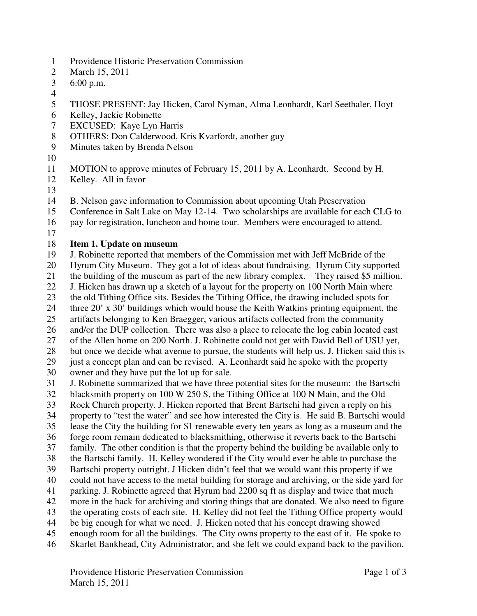- 1 Providence Historic Preservation Commission
- 2 March 15, 2011
- 3 6:00 p.m.
- 4
- 5 THOSE PRESENT: Jay Hicken, Carol Nyman, Alma Leonhardt, Karl Seethaler, Hoyt
- 6 Kelley, Jackie Robinette
- 7 EXCUSED: Kaye Lyn Harris
- 8 OTHERS: Don Calderwood, Kris Kvarfordt, another guy
- 9 Minutes taken by Brenda Nelson
- 10
- 11 MOTION to approve minutes of February 15, 2011 by A. Leonhardt. Second by H.
- 12 Kelley. All in favor
- 13
- 14 B. Nelson gave information to Commission about upcoming Utah Preservation
- 15 Conference in Salt Lake on May 12-14. Two scholarships are available for each CLG to
- 16 pay for registration, luncheon and home tour. Members were encouraged to attend.
- 17

## 18 **Item 1. Update on museum**

- 19 J. Robinette reported that members of the Commission met with Jeff McBride of the
- 20 Hyrum City Museum. They got a lot of ideas about fundraising. Hyrum City supported
- 21 the building of the museum as part of the new library complex. They raised \$5 million.
- 22 J. Hicken has drawn up a sketch of a layout for the property on 100 North Main where
- 23 the old Tithing Office sits. Besides the Tithing Office, the drawing included spots for
- 24 three 20' x 30' buildings which would house the Keith Watkins printing equipment, the
- 25 artifacts belonging to Ken Braegger, various artifacts collected from the community
- 26 and/or the DUP collection. There was also a place to relocate the log cabin located east 27 of the Allen home on 200 North. J. Robinette could not get with David Bell of USU yet,
- 28 but once we decide what avenue to pursue, the students will help us. J. Hicken said this is
- 29 just a concept plan and can be revised. A. Leonhardt said he spoke with the property
- 30 owner and they have put the lot up for sale.
- 31 J. Robinette summarized that we have three potential sites for the museum: the Bartschi
- 32 blacksmith property on 100 W 250 S, the Tithing Office at 100 N Main, and the Old
- 33 Rock Church property. J. Hicken reported that Brent Bartschi had given a reply on his
- 34 property to "test the water" and see how interested the City is. He said B. Bartschi would
- 35 lease the City the building for \$1 renewable every ten years as long as a museum and the
- 36 forge room remain dedicated to blacksmithing, otherwise it reverts back to the Bartschi
- 37 family. The other condition is that the property behind the building be available only to
- 38 the Bartschi family. H. Kelley wondered if the City would ever be able to purchase the
- 39 Bartschi property outright. J Hicken didn't feel that we would want this property if we 40 could not have access to the metal building for storage and archiving, or the side yard for
- 41 parking. J. Robinette agreed that Hyrum had 2200 sq ft as display and twice that much
- 42 more in the back for archiving and storing things that are donated. We also need to figure
- 43 the operating costs of each site. H. Kelley did not feel the Tithing Office property would
- 44 be big enough for what we need. J. Hicken noted that his concept drawing showed
- 45 enough room for all the buildings. The City owns property to the east of it. He spoke to
- 46 Skarlet Bankhead, City Administrator, and she felt we could expand back to the pavilion.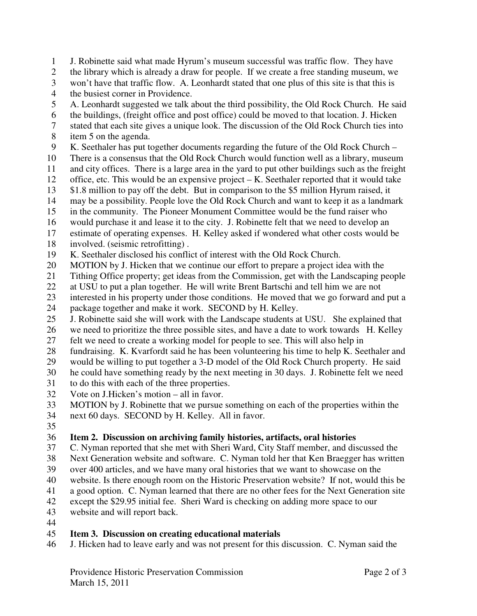1 J. Robinette said what made Hyrum's museum successful was traffic flow. They have 2 the library which is already a draw for people. If we create a free standing museum, we 3 won't have that traffic flow. A. Leonhardt stated that one plus of this site is that this is 4 the busiest corner in Providence. 5 A. Leonhardt suggested we talk about the third possibility, the Old Rock Church. He said

- 6 the buildings, (freight office and post office) could be moved to that location. J. Hicken
- 7 stated that each site gives a unique look. The discussion of the Old Rock Church ties into
- 8 item 5 on the agenda.
- 9 K. Seethaler has put together documents regarding the future of the Old Rock Church –
- 10 There is a consensus that the Old Rock Church would function well as a library, museum
- 11 and city offices. There is a large area in the yard to put other buildings such as the freight
- 12 office, etc. This would be an expensive project K. Seethaler reported that it would take
- 13 \$1.8 million to pay off the debt. But in comparison to the \$5 million Hyrum raised, it
- 14 may be a possibility. People love the Old Rock Church and want to keep it as a landmark
- 15 in the community. The Pioneer Monument Committee would be the fund raiser who
- 16 would purchase it and lease it to the city. J. Robinette felt that we need to develop an
- 17 estimate of operating expenses. H. Kelley asked if wondered what other costs would be 18 involved. (seismic retrofitting) .
- 19 K. Seethaler disclosed his conflict of interest with the Old Rock Church.
- 20 MOTION by J. Hicken that we continue our effort to prepare a project idea with the
- 21 Tithing Office property; get ideas from the Commission, get with the Landscaping people
- 22 at USU to put a plan together. He will write Brent Bartschi and tell him we are not
- 23 interested in his property under those conditions. He moved that we go forward and put a 24 package together and make it work. SECOND by H. Kelley.
- 25 J. Robinette said she will work with the Landscape students at USU. She explained that
- 26 we need to prioritize the three possible sites, and have a date to work towards H. Kelley
- 27 felt we need to create a working model for people to see. This will also help in
- 28 fundraising. K. Kvarfordt said he has been volunteering his time to help K. Seethaler and
- 29 would be willing to put together a 3-D model of the Old Rock Church property. He said
- 30 he could have something ready by the next meeting in 30 days. J. Robinette felt we need
- 31 to do this with each of the three properties.
- 32 Vote on J.Hicken's motion all in favor.
- 33 MOTION by J. Robinette that we pursue something on each of the properties within the
- 34 next 60 days. SECOND by H. Kelley. All in favor.
- 35

## 36 **Item 2. Discussion on archiving family histories, artifacts, oral histories**

- 37 C. Nyman reported that she met with Sheri Ward, City Staff member, and discussed the
- 38 Next Generation website and software. C. Nyman told her that Ken Braegger has written
- 39 over 400 articles, and we have many oral histories that we want to showcase on the
- 40 website. Is there enough room on the Historic Preservation website? If not, would this be
- 41 a good option. C. Nyman learned that there are no other fees for the Next Generation site
- 42 except the \$29.95 initial fee. Sheri Ward is checking on adding more space to our
- 43 website and will report back.
- 44

## 45 **Item 3. Discussion on creating educational materials**

46 J. Hicken had to leave early and was not present for this discussion. C. Nyman said the